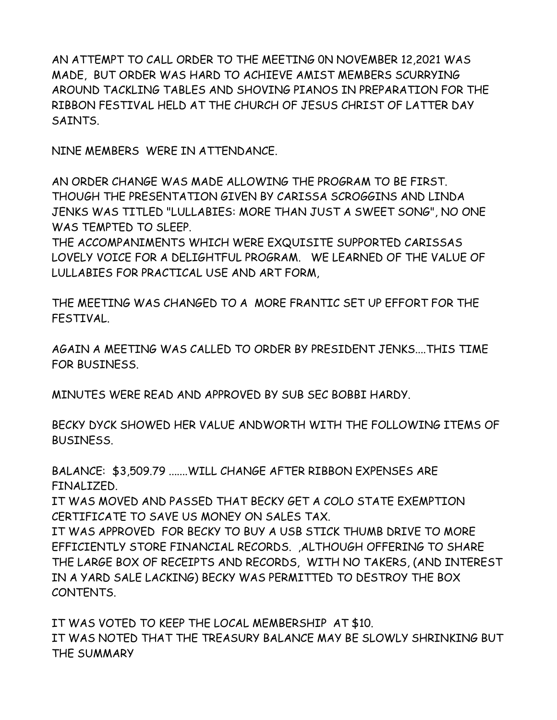AN ATTEMPT TO CALL ORDER TO THE MEETING 0N NOVEMBER 12,2021 WAS MADE, BUT ORDER WAS HARD TO ACHIEVE AMIST MEMBERS SCURRYING AROUND TACKLING TABLES AND SHOVING PIANOS IN PREPARATION FOR THE RIBBON FESTIVAL HELD AT THE CHURCH OF JESUS CHRIST OF LATTER DAY SAINTS.

NINE MEMBERS WERE IN ATTENDANCE.

AN ORDER CHANGE WAS MADE ALLOWING THE PROGRAM TO BE FIRST. THOUGH THE PRESENTATION GIVEN BY CARISSA SCROGGINS AND LINDA JENKS WAS TITLED "LULLABIES: MORE THAN JUST A SWEET SONG", NO ONE WAS TEMPTED TO SLEEP.

THE ACCOMPANIMENTS WHICH WERE EXQUISITE SUPPORTED CARISSAS LOVELY VOICE FOR A DELIGHTFUL PROGRAM. WE LEARNED OF THE VALUE OF LULLABIES FOR PRACTICAL USE AND ART FORM,

THE MEETING WAS CHANGED TO A MORE FRANTIC SET UP EFFORT FOR THE FESTIVAL.

AGAIN A MEETING WAS CALLED TO ORDER BY PRESIDENT JENKS....THIS TIME FOR BUSINESS.

MINUTES WERE READ AND APPROVED BY SUB SEC BOBBI HARDY.

BECKY DYCK SHOWED HER VALUE ANDWORTH WITH THE FOLLOWING ITEMS OF BUSINESS.

BALANCE: \$3,509.79 .......WILL CHANGE AFTER RIBBON EXPENSES ARE FINALIZED.

IT WAS MOVED AND PASSED THAT BECKY GET A COLO STATE EXEMPTION CERTIFICATE TO SAVE US MONEY ON SALES TAX.

IT WAS APPROVED FOR BECKY TO BUY A USB STICK THUMB DRIVE TO MORE EFFICIENTLY STORE FINANCIAL RECORDS. ,ALTHOUGH OFFERING TO SHARE THE LARGE BOX OF RECEIPTS AND RECORDS, WITH NO TAKERS, (AND INTEREST IN A YARD SALE LACKING) BECKY WAS PERMITTED TO DESTROY THE BOX CONTENTS.

IT WAS VOTED TO KEEP THE LOCAL MEMBERSHIP AT \$10. IT WAS NOTED THAT THE TREASURY BALANCE MAY BE SLOWLY SHRINKING BUT THE SUMMARY